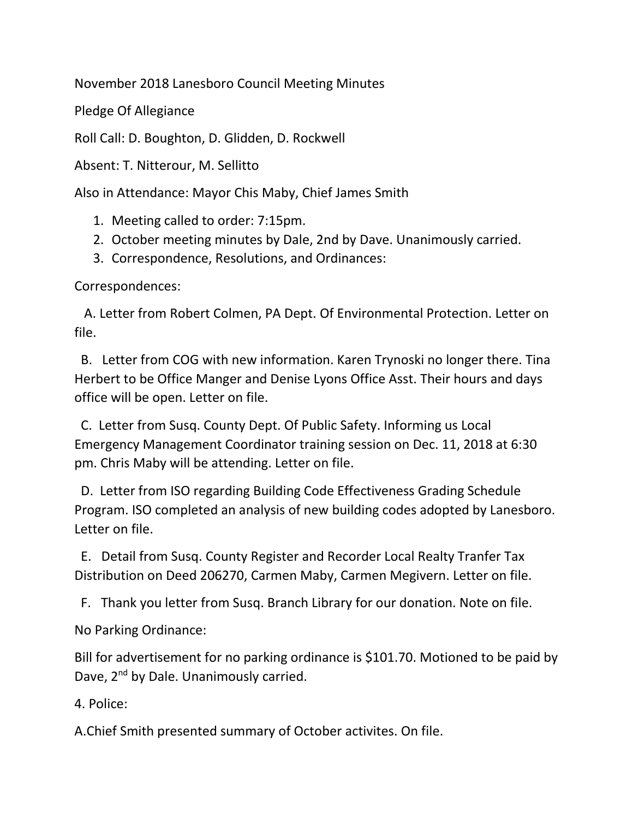November 2018 Lanesboro Council Meeting Minutes

Pledge Of Allegiance

Roll Call: D. Boughton, D. Glidden, D. Rockwell

Absent: T. Nitterour, M. Sellitto

Also in Attendance: Mayor Chis Maby, Chief James Smith

- 1. Meeting called to order: 7:15pm.
- 2. October meeting minutes by Dale, 2nd by Dave. Unanimously carried.
- 3. Correspondence, Resolutions, and Ordinances:

Correspondences:

 A. Letter from Robert Colmen, PA Dept. Of Environmental Protection. Letter on file.

 B. Letter from COG with new information. Karen Trynoski no longer there. Tina Herbert to be Office Manger and Denise Lyons Office Asst. Their hours and days office will be open. Letter on file.

 C. Letter from Susq. County Dept. Of Public Safety. Informing us Local Emergency Management Coordinator training session on Dec. 11, 2018 at 6:30 pm. Chris Maby will be attending. Letter on file.

 D. Letter from ISO regarding Building Code Effectiveness Grading Schedule Program. ISO completed an analysis of new building codes adopted by Lanesboro. Letter on file.

 E. Detail from Susq. County Register and Recorder Local Realty Tranfer Tax Distribution on Deed 206270, Carmen Maby, Carmen Megivern. Letter on file.

F. Thank you letter from Susq. Branch Library for our donation. Note on file.

No Parking Ordinance:

Bill for advertisement for no parking ordinance is \$101.70. Motioned to be paid by Dave, 2<sup>nd</sup> by Dale. Unanimously carried.

4. Police:

A.Chief Smith presented summary of October activites. On file.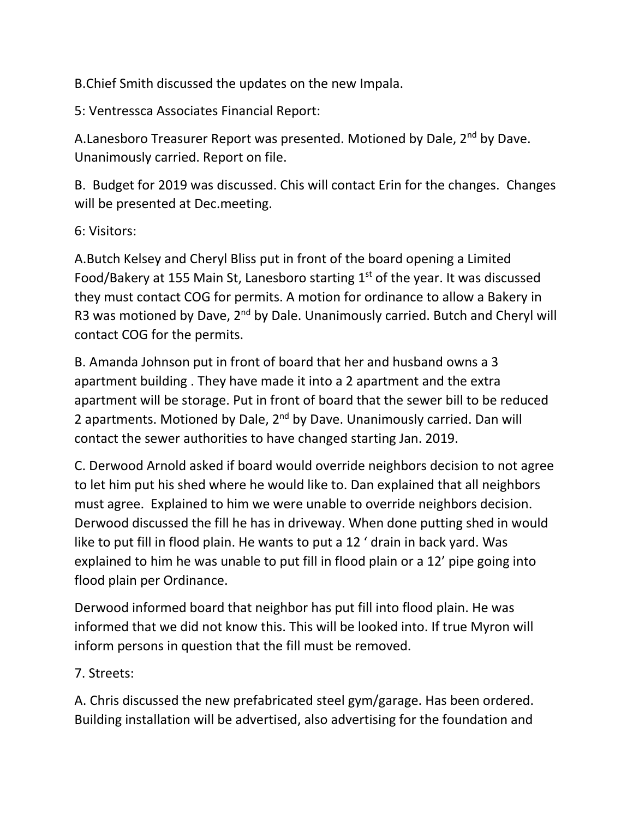B.Chief Smith discussed the updates on the new Impala.

5: Ventressca Associates Financial Report:

A.Lanesboro Treasurer Report was presented. Motioned by Dale, 2<sup>nd</sup> by Dave. Unanimously carried. Report on file.

B. Budget for 2019 was discussed. Chis will contact Erin for the changes. Changes will be presented at Dec.meeting.

6: Visitors:

A.Butch Kelsey and Cheryl Bliss put in front of the board opening a Limited Food/Bakery at 155 Main St, Lanesboro starting  $1<sup>st</sup>$  of the year. It was discussed they must contact COG for permits. A motion for ordinance to allow a Bakery in R3 was motioned by Dave, 2<sup>nd</sup> by Dale. Unanimously carried. Butch and Cheryl will contact COG for the permits.

B. Amanda Johnson put in front of board that her and husband owns a 3 apartment building . They have made it into a 2 apartment and the extra apartment will be storage. Put in front of board that the sewer bill to be reduced 2 apartments. Motioned by Dale, 2<sup>nd</sup> by Dave. Unanimously carried. Dan will contact the sewer authorities to have changed starting Jan. 2019.

C. Derwood Arnold asked if board would override neighbors decision to not agree to let him put his shed where he would like to. Dan explained that all neighbors must agree. Explained to him we were unable to override neighbors decision. Derwood discussed the fill he has in driveway. When done putting shed in would like to put fill in flood plain. He wants to put a 12 ' drain in back yard. Was explained to him he was unable to put fill in flood plain or a 12' pipe going into flood plain per Ordinance.

Derwood informed board that neighbor has put fill into flood plain. He was informed that we did not know this. This will be looked into. If true Myron will inform persons in question that the fill must be removed.

7. Streets:

A. Chris discussed the new prefabricated steel gym/garage. Has been ordered. Building installation will be advertised, also advertising for the foundation and